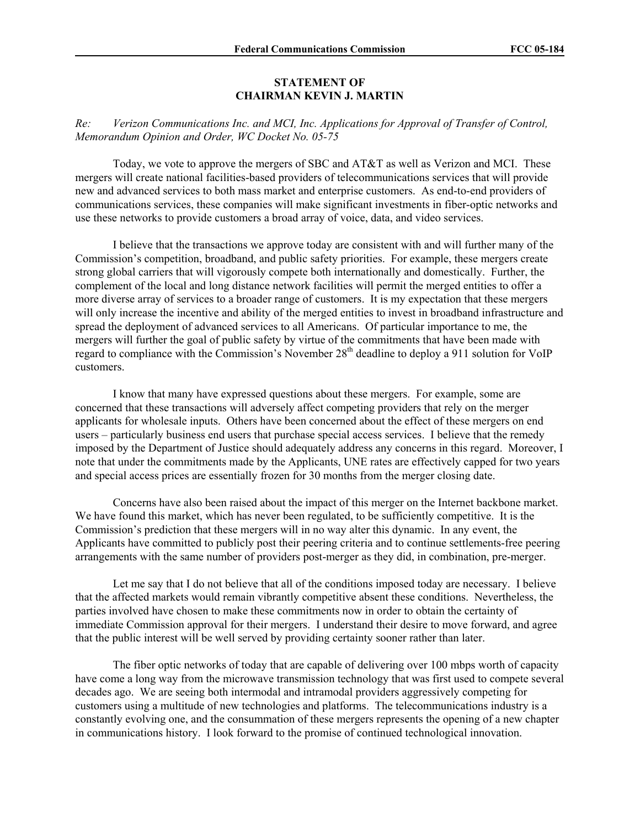## **STATEMENT OF CHAIRMAN KEVIN J. MARTIN**

*Re: Verizon Communications Inc. and MCI, Inc. Applications for Approval of Transfer of Control, Memorandum Opinion and Order, WC Docket No. 05-75* 

Today, we vote to approve the mergers of SBC and AT&T as well as Verizon and MCI. These mergers will create national facilities-based providers of telecommunications services that will provide new and advanced services to both mass market and enterprise customers. As end-to-end providers of communications services, these companies will make significant investments in fiber-optic networks and use these networks to provide customers a broad array of voice, data, and video services.

I believe that the transactions we approve today are consistent with and will further many of the Commission's competition, broadband, and public safety priorities. For example, these mergers create strong global carriers that will vigorously compete both internationally and domestically. Further, the complement of the local and long distance network facilities will permit the merged entities to offer a more diverse array of services to a broader range of customers. It is my expectation that these mergers will only increase the incentive and ability of the merged entities to invest in broadband infrastructure and spread the deployment of advanced services to all Americans. Of particular importance to me, the mergers will further the goal of public safety by virtue of the commitments that have been made with regard to compliance with the Commission's November 28<sup>th</sup> deadline to deploy a 911 solution for VoIP customers.

I know that many have expressed questions about these mergers. For example, some are concerned that these transactions will adversely affect competing providers that rely on the merger applicants for wholesale inputs. Others have been concerned about the effect of these mergers on end users – particularly business end users that purchase special access services. I believe that the remedy imposed by the Department of Justice should adequately address any concerns in this regard. Moreover, I note that under the commitments made by the Applicants, UNE rates are effectively capped for two years and special access prices are essentially frozen for 30 months from the merger closing date.

Concerns have also been raised about the impact of this merger on the Internet backbone market. We have found this market, which has never been regulated, to be sufficiently competitive. It is the Commission's prediction that these mergers will in no way alter this dynamic. In any event, the Applicants have committed to publicly post their peering criteria and to continue settlements-free peering arrangements with the same number of providers post-merger as they did, in combination, pre-merger.

Let me say that I do not believe that all of the conditions imposed today are necessary. I believe that the affected markets would remain vibrantly competitive absent these conditions. Nevertheless, the parties involved have chosen to make these commitments now in order to obtain the certainty of immediate Commission approval for their mergers. I understand their desire to move forward, and agree that the public interest will be well served by providing certainty sooner rather than later.

The fiber optic networks of today that are capable of delivering over 100 mbps worth of capacity have come a long way from the microwave transmission technology that was first used to compete several decades ago. We are seeing both intermodal and intramodal providers aggressively competing for customers using a multitude of new technologies and platforms. The telecommunications industry is a constantly evolving one, and the consummation of these mergers represents the opening of a new chapter in communications history. I look forward to the promise of continued technological innovation.